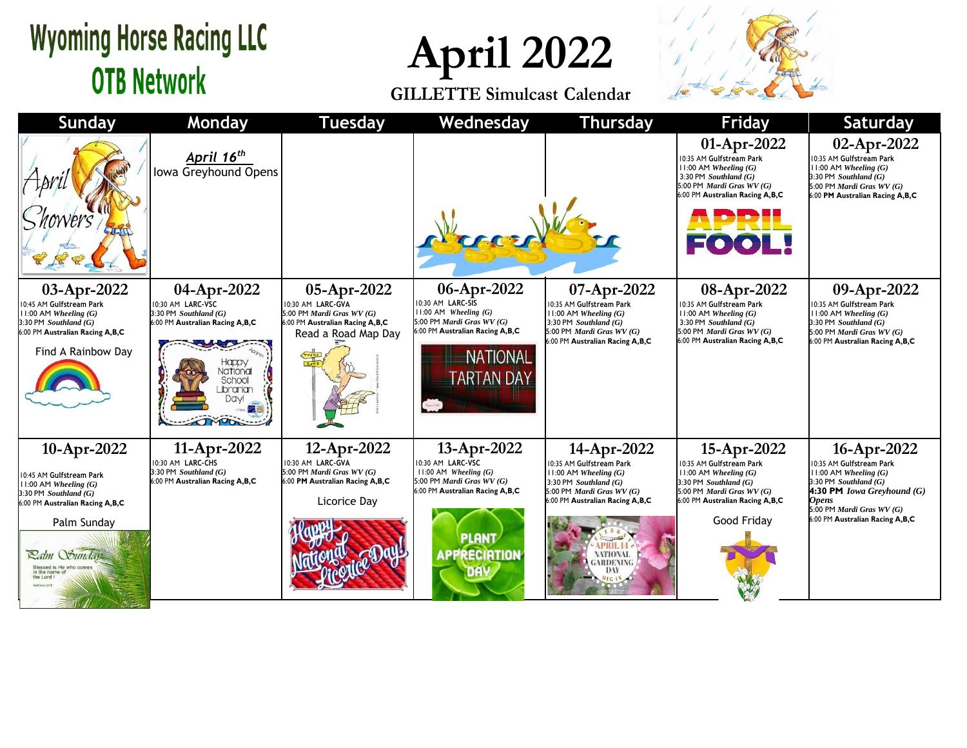## **Wyoming Horse Racing LLC OTB Network**

**April 2022**

**GILLETTE Simulcast Calendar**



| <b>Sunday</b>                                                                                                                                                                                                                 | Monday                                                                                                                                                    | <b>Tuesday</b>                                                                                                          | Wednesday                                                                                                                                                                    | <b>Thursday</b>                                                                                                                                                                                                                 | <b>Friday</b>                                                                                                                                                                             | <b>Saturday</b>                                                                                                                                                                                                   |
|-------------------------------------------------------------------------------------------------------------------------------------------------------------------------------------------------------------------------------|-----------------------------------------------------------------------------------------------------------------------------------------------------------|-------------------------------------------------------------------------------------------------------------------------|------------------------------------------------------------------------------------------------------------------------------------------------------------------------------|---------------------------------------------------------------------------------------------------------------------------------------------------------------------------------------------------------------------------------|-------------------------------------------------------------------------------------------------------------------------------------------------------------------------------------------|-------------------------------------------------------------------------------------------------------------------------------------------------------------------------------------------------------------------|
|                                                                                                                                                                                                                               | April 16 <sup>th</sup><br>Iowa Greyhound Opens                                                                                                            |                                                                                                                         |                                                                                                                                                                              |                                                                                                                                                                                                                                 | 01-Apr-2022<br>10:35 AM Gulfstream Park<br>$11:00$ AM Wheeling $(G)$<br>3:30 PM Southland $(G)$<br>5:00 PM <i>Mardi Gras WV</i> $(G)$<br>6:00 PM Australian Racing A,B,C<br>FOOL!         | 02-Apr-2022<br>10:35 AM Gulfstream Park<br>$11:00$ AM Wheeling $(G)$<br>3:30 PM Southland $(G)$<br>5:00 PM Mardi Gras WV (G)<br>6:00 PM Australian Racing A,B,C                                                   |
| 03-Apr-2022<br>10:45 AM Gulfstream Park<br>$11:00$ AM Wheeling $(G)$<br>3:30 PM Southland (G)<br>6:00 PM Australian Racing A,B,C<br>Find A Rainbow Day                                                                        | 04-Apr-2022<br>10:30 AM LARC-VSC<br>3:30 PM Southland $(G)$<br>6:00 PM Australian Racing A,B,C<br>Happy<br>Vational<br>School<br>Librarian<br><b>Davi</b> | 05-Apr-2022<br>10:30 AM LARC-GVA<br>5:00 PM Mardi Gras WV (G)<br>6:00 PM Australian Racing A,B,C<br>Read a Road Map Day | 06-Apr-2022<br>10:30 AM LARC-SIS<br>$11:00$ AM Wheeling $(G)$<br>5:00 PM Mardi Gras WV (G)<br>6:00 PM Australian Racing A,B,C<br><b>NATIONAL</b><br><b><i>FARTAN DAY</i></b> | 07-Apr-2022<br>10:35 AM Gulfstream Park<br>$11:00$ AM Wheeling $(G)$<br>3:30 PM Southland $(G)$<br>5:00 PM <i>Mardi Gras WV</i> $(G)$<br>6:00 PM Australian Racing A, B, C                                                      | 08-Apr-2022<br>10:35 AM Gulfstream Park<br>$11:00$ AM Wheeling $(G)$<br>3:30 PM Southland $(G)$<br>5:00 PM <i>Mardi Gras WV</i> $(G)$<br>6:00 PM Australian Racing A,B,C                  | 09-Apr-2022<br>10:35 AM Gulfstream Park<br>11:00 AM Wheeling (G)<br>3:30 PM Southland $(G)$<br>5:00 PM <i>Mardi Gras WV</i> $(G)$<br>6:00 PM Australian Racing A,B,C                                              |
| 10-Apr-2022<br>10:45 AM Gulfstream Park<br>$11:00$ AM Wheeling $(G)$<br>$3:30$ PM Southland $(G)$<br>6:00 PM Australian Racing A,B,C<br>Palm Sunday<br><b>Ratm Sunday</b><br>Blessed is He who com<br>in the name<br>the Lord | 11-Apr-2022<br>10:30 AM LARC-CHS<br>3:30 PM Southland $(G)$<br>6:00 PM Australian Racing A,B,C                                                            | 12-Apr-2022<br>10:30 AM LARC-GVA<br>5:00 PM Mardi Gras WV (G)<br>6:00 PM Australian Racing A,B,C<br>Licorice Day        | 13-Apr-2022<br>10:30 AM LARC-VSC<br>11:00 AM Wheeling $(G)$<br>5:00 PM Mardi Gras WV (G)<br>6:00 PM Australian Racing A,B,C<br><b>PLANT</b><br><b>APPRECIATION</b>           | 14-Apr-2022<br>10:35 AM Gulfstream Park<br>$11:00$ AM Wheeling $(G)$<br>3:30 PM Southland $(G)$<br>5:00 PM <i>Mardi Gras WV</i> $(G)$<br>6:00 PM Australian Racing A,B,C<br><b>NATIONAL</b><br><b>GARDENING</b><br>DAY<br>D1G1N | 15-Apr-2022<br>10:35 AM Gulfstream Park<br>$11:00$ AM Wheeling $(G)$<br>$3:30$ PM Southland $(G)$<br>5:00 PM <i>Mardi Gras WV</i> $(G)$<br>6:00 PM Australian Racing A,B,C<br>Good Friday | 16-Apr-2022<br>10:35 AM Gulfstream Park<br>$11:00$ AM Wheeling $(G)$<br>$3:30$ PM Southland $(G)$<br>4:30 PM Iowa Greyhound $(G)$<br><b>Opens</b><br>5:00 PM Mardi Gras WV (G)<br>6:00 PM Australian Racing A,B,C |